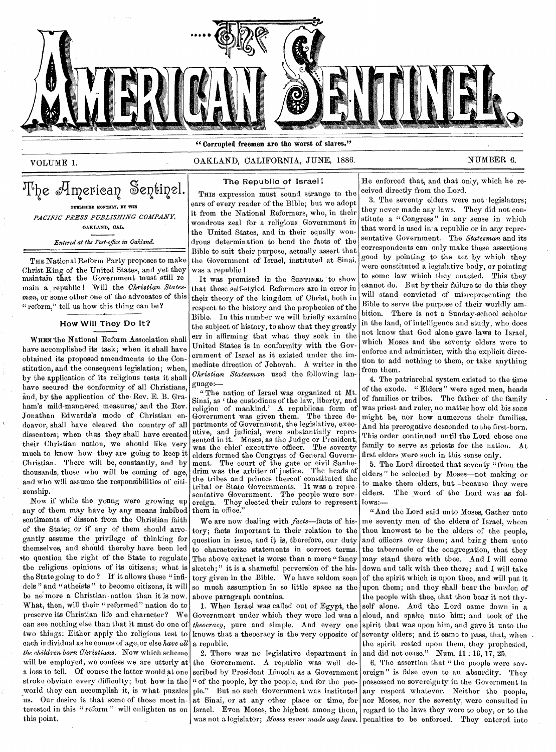

"Corrupted freemen are the worst of slaves."

# VOLUME 1. CALLAND, CALIFORNIA, JUNE, 1886. NUMBER 6.

The American Sentinel. PUBLISHED MONTHLY, BY THE *PACIFIC PRESS PUBLISHING COMPANY,*  OAKLAND, CAL. *Entered at the Past-of fice in Oakland.* 

THE National Reform Party proposes to make Christ King of the United States, and yet they maintain that the Government must still remain a republic I Will the *Christian Statesman,* or some other one of the advocates of this " reform," tell us how this thing can be?

#### How Will They Do It?

WHEN the National Reform Association shall have accomplished its task; when it shall have obtained its proposed amendments to the Constitution, and the consequent legislation; when, by the application of its religious tests it shall have secured the conformity of all Christians, and, by the application of the Rev. E. B. Graham's mild-mannered measures; and the Rev. Jonathan Edwards's mode of Christian endeavor, shall have cleared the country of all dissenters; when thus they shall have created their Christian nation, we should like very much to know how they are going to keep it Christian. There will be, constantly, and by thousands, those who will be coming of age, and who will assume the responsibilities of citizenship.

Now if while the young were growing up any of them may have by any means imbibed sentiments of dissent from the Christian faith of the State; or if any of them should arrogantly assume the privilege of thinking for themselves, and should thereby have been led \*to question the right of the State to regulate the religious opinions of its citizens; what is the State going to do? If it allows these "infidels " and "atheists" to become citizens, it will be no more a Christian nation than it is now. What, then, will their "reformed" nation do to preserve its Christian life and character? We ean see nothing else than that it must do one of two things: Either apply the religious test to each individual as he comes of age, or else *have all, the children born Christians.* Now which scheme will be employed, we confess we are utterly at a loss to tell. Of course the latter would at one stroke obviate every difficulty; but how in the world they can accomplish it, is what puzzles Our desire is that some of those most interested in this "reform" will enlighten us on this point.

The Republic of Israeli

THIS expression must sound strange to the ears of every reader of the Bible; but we adopt it from the National Reformers, who, in their wondrous zeal for a religious Government in the United States, and in their equally wondrous determination to bend the facts of the Bible to suit their purpose, actually assert that the Government of Israel, instituted at Sinai, was a republic

It was promised in the SENTINEL to show that these self-styled Reformers are in error in their theory of the kingdom of Christ, both in respect to the history and the prophecies of the Bible. In this number we will briefly examine the subject of history, to show that they greatly err in affirming that what they seek in the United States is in conformity with the Government of Israel as it existed under the immediate direction of Jehovah. A writer in the *Christian Statesman* used the following language:—

" The nation of Israel was organized at Mt. Sinai, as  $\cdot$  the custodians of the law, liberty, and religion of mankind.' A republican form of Government was given them. The three departments of Government, the legislative, executive, and judicial, were substantially represented in it. Moses, as the Judge or President, was the chief executive officer. The seventy elders formed the Congress of General Government. The court of the gate or civil Sanhedrin was the arbiter of justice. The heads of the tribes and princes thereof constituted the tribal or State Governments. It was a representative Government. The people were sovereign. They elected their rulers to represent them in office."

We are now dealing with *facts—facts* of history; facts important in their relation to the question in issue, and it is, therefore, our duty to characterize statements in correct terms. The above extract is worse than a mere "fancy sketch;" it is a shameful perversion of the history given in the Bible. We have seldom seen so much assumption in so little space as the above paragraph contains.

1. When Israel was called out of Egypt, the Government under which they were led was a *theocracy,* pure and simple. And every one knows that a theocracy is the very opposite of a republic.

2. There was no legislative department in the Government. A republic was well described by President Lincoln as a Government "of the people, by the people, and for the people." But no such Government was instituted at Sinai, or at any other place or time, for

3. The seventy elders were not legislators; they never made any laws. They did not constitute a "Congress" in any sense in which that word is used in a republic or in any representative Government. The *Statesman* and its correspondents can only make these assertions good by pointing to the act *by* which they were constituted a legislative body, or pointing to some law which they enacted. This they cannot do. But by their failure to do this they will stand convicted of misrepresenting the Bible to serve the purpose of their worldly ambition. There is not a Sunday-school scholar in the land, of intelligence and study, who does not know that God alone gave laws to Israel, which Moses and the seventy elders were to

He enforced that, and that only, which he re-

ceived directly from the Lord.

tion to add nothing to them, or take anything from them. 4. The patriarchal system existed to the time of the exode. " Elders " were aged men, heads of families or tribes. The father of the family was priest and ruler, no matter how old his sons might be, nor how numerous their families. And his prerogative descended to the first-born. This order continued until the Lord chose one family to serve as priests for the nation. At first elders were such in this sense only.

enforce and administer, with the explicit direc-

5. The Lord directed that seventy "from the elders " be selected by Moses—not making or to make them elders, but—because they were elders. The word of the Lord was as follows:—

" And the Lord said unto Moses, Gather unto me seventy men of the elders of Israel, whom thou knowest to be the elders of the people, and officers over them; and bring them unto the tabernacle of the congregation, that they may stand there with thee. And I will come down and talk with thee there; and I will take of the spirit which is upon thee, and will put it upon them; and they shall bear the burden of the people with thee, that thou bear it not thyself alone. And the Lord came down in a cloud, and spake unto him; and took of the spirit that was upon him, and gave it unto the seventy elders; and it came to pass, that, when the spirit rested upon them, they prophesied, and did not cease." Num. 11 : 16, 17, 25.

Israel. Even Moses, the highest among them, regard to the laws they were to obey, or to the was not a legislator; *!doses never made any laws.*  penalties to be enforced. They entered into 6. The assertion that " the people were sovereign" is false even to an absurdity. They possessed no sovereignty in the Government in any respect whatever. Neither the people, nor Moses, nor the seventy, were consulted in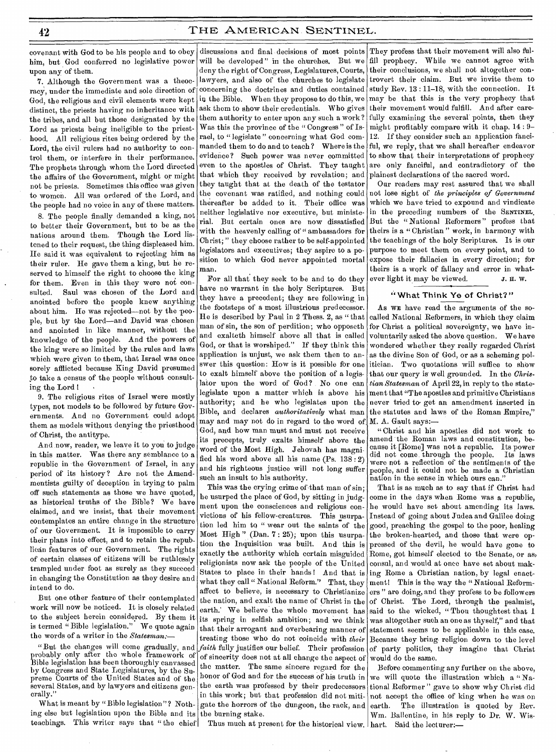covenant with God to be his people and to obey him, but God conferred no legislative power upon any of them.

7. Although the Government was a theocracy, under the immediate and sole direction of God, the religious and civil elements were kept distinct, the priests having no inheritance with the tribes, and all but those designated by the Lord as priests being ineligible to the priesthood. All religious rites being ordered by the Lord, the civil rulers had no authority to control them, or interfere in their performance. The prophets through whom the Lord directed the affairs of the Government, might or might not be priests. Sometimes this office was given to women. All was ordered of the Lord, and the people had no voice in any of these matters.

8. The people finally demanded a king, not to better their Government, but to be as the nations around them. Though the Lord listened to their request, the thing displeased him. He said it was equivalent to rejecting him as their ruler. He gave them a king, but he reserved to himself the right to choose the king for them. Even in this they were not consulted. Saul was chosen of the Lord and anointed before the people knew anything about him. He was rejected—not by the people, but by the Lord—and David was chosen and anointed in like manner, without the knowledge of the people. And the powers of the king were so limited by the rules and laws which were given to them, that Israel was once sorely afflicted because King David presumed to take a census of the people without consulting the Lord

9. The religious rites of Israel were mostly types, not models to be followed by future Governments. And no Government could adopt them as models without denying the priesthood of Christ, the antitype.

And now, reader, we leave it to you to judge in this matter. Was there any semblance to a republic in the Government of Israel, in any period of its history? Are not the Amendmentists guilty of deception in trying to palm off such statements as those we have quoted, as historical truths of the Bible? We have claimed, and we insist, that their movement contemplates an entire change in the structure of our Government. It is impossible to carry their plans into effect, and to retain the republican features of our Government. The rights of certain classes of citizens will be ruthlessly trampled under foot as surely as they succeed in changing the Constitution as they desire and intend to do.

But one other feature of their contemplated work will now be noticed. It is closely related to the subject herein considered. By them it is termed "Bible legislation." We quote again the words of a writer in the *Statesman*:

"But the changes will come gradually, and probably only after the whole framework of Bible legislation has been thoroughly canvassed by Congress and State Legislatures, by the Supreme Courts of the United States and of the several States, and by lawyers and citizens generally."

What is meant by "Bible legislation"? Nothing else but legislation upon the Bible and its teachings. This writer says that "the chief

discussions and final decisions of most points will be developed" in the churches. But we deny the right of Congress, Legislatures, Courts, lawyers, and also of the churches to legislate concerning the doctrines and duties contained in the Bible. When they propose to do this, we ask them to show their credentials. Who gives them authority to enter upon any such a work? Was this the province of the "Congress" of Israel, to "legislate" concerning what God commanded them to do and to teach ? Where is the evidence? Such power was never committed even to the apostles of Christ. They taught that which they received by revelation; and they taught that at the death of the testator the covenant was ratified, and nothing could thereafter be added to it. Their office was neither legislative nor executive, but ministerial. But certain ones are now dissatisfied with the heavenly calling of " ambassadors for Christ; " they choose rather to be self-appointed legislators and executives; they aspire to a position to which God never appointed mortal man.

For all that they seek to be and to do they have no warrant in the holy Scriptures. But they have a precedent; they are following, in the footsteps of a most illustrious predecessor. He is described by Paul in  $2$  Thess.  $2$ , as "that man of sin, the son of perdition; who opposeth and exalteth himself above all that is called God, or that is worshiped." If they think this application is unjust, we ask them then to answer this question: How is it possible for one to exalt himself above the position of a legislator upon the word of God? No one can legislate upon a matter which is above his authority; and he who legislates upon the Bible, and declares *authoritatively* what man may and may not do in regard to the word of. God, and bow man must and must not receive its precepts, truly exalts himself above the word of the Most High. Jehovah has magnified his word above all his name  $(Ps. 138:2)$ and his righteous justice will not long suffer such an insult to his authority.

This was the crying crime of that man of sin; he usurped the place of God, by sitting in judgment upon the consciences and religious convictions of his fellow-creatures. This usurpation led him to " wear out the saints of the Most High "  $(Dan. 7: 25)$ ; upon this usurpation the Inquisition was built. And this is exactly the authority which certain misguided religionists now ask the people of the United States to place in their hands ! And that is what they call " National Reform." That, they affect to believe, is necessary to Christianize the nation, and exalt the name of Christ in the earth.' We believe the whole movement has its spring in selfish ambition; and we think that their arrogant and overbearing manner of treating those who do not 'coincide with *their faith* fully justifies our belief. Their profession of sincerity does not at all change the aspect of the matter. The same sincere regard for the honor of God and for the success of his truth in the earth was professed by their predecessors in this work; but that profession did not mitigate the horrors of the dungeon, the rack, and the burning stake.

Thus much at present for the historical view. hart. Said the lecturer:-

They profess that their movement will also fulfill prophecy. While we cannot agree with their conclusions, we shall not altogether controvert their claim. But we invite them to study Rev. 13 : 11-18, with the connection. It may be that this is the very prophecy that their movement would fulfill. And after carefully examining the several points, then they might profitably compare with it chap. 14 : 9- 12. If they consider such an application fanciful, we reply, that we shall hereafter endeavor to show that their interpretations of prophecy are only fanciful, and contradictory of the plainest declarations of the sacred word.

Our readers may rest assured that we shall not lose sight of *the principles of Government*  which we have tried to expound and vindicate in the preceding numbers of the SENTINEL. But the "National Reformers" profess that theirs is a "Christian" work, in harmony with the' teachings of the holy Scriptures. It is our purpose to meet them on every point, and to expose their fallacies in every direction; for theirs is a work of fallacy and error in whatever light it may be viewed.  $J.H. W.$ 

### "What Think Ye of Christ?"

As WE have read the arguments of the socalled National Reformers, in which they claim for Christ a political sovereignty, we have involuntarily asked the above question. We have wondered whether they really regarded Christ as the divine Son of God, or as a scheming politician. Two quotations will suffice to show that our query is well grounded. In the *Christian Statesman* of April 22, in reply to the statement that "The apostles and primitive Christians never tried to' get an amendment inserted in the statutes and laws of the Roman Empire.' M. A. Gault says:—

" Christ and his apostles did not work to amend the Roman laws and constitution, because it [Rome] was not a republic. Its power did not come through the people. Its laws were not a reflection of the sentiments of the people, and it could not be made a Christian nation in the sense in which ours can."

That is as much as to say that if Christ had come in the days when Rome was a republic, he would have set about amending its laws. Instead of going about Judea and Galilee doing good, preaching the gospel to the poor, healing the broken-hearted, and those that were oppressed of the devil, he would have gone to Rome, got himself elected to the Senate, or as. consul, and would at once have set about making Rome a Christian nation, by legal enactment! This is the way the "National Reformers " are doing, and they profess to be followers of Christ. The Lord, through the psalmist, said to the wicked, "Thou thoughtest that I was altogether such an one as thyself," and that statement seems to be applicable in this case. Because they bring religion down to the level of party politics, they imagine that Christ would do the same.

Before commenting any further on the above, we will quote the illustration which a "National Reformer" gave to show why Christ did not accept the office of king when he was on earth. The illustration is quoted by Rev. Wm. Ballentine, in his reply to Dr. W. Wis-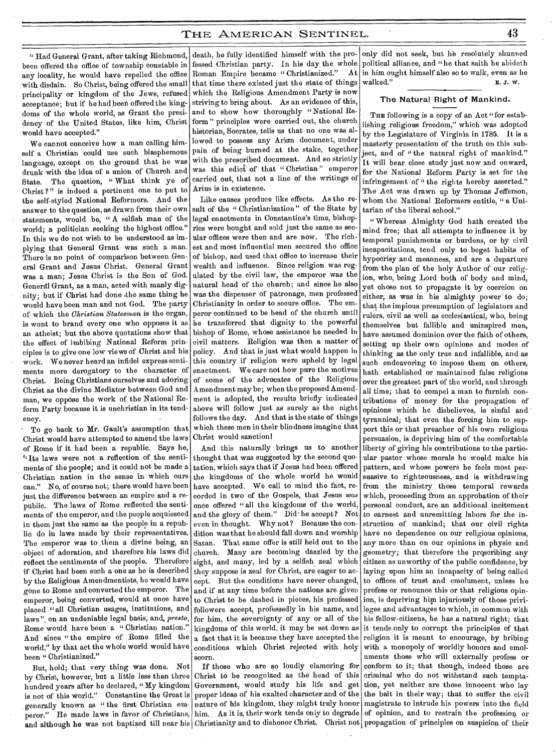" Had General Grant, after taking Richmond, been offered the office of township constable in any locality, he would have repelled the office with disdain. So Christ, being offered the small principality or kingdom of the Jews, refused acceptance; but if he had been offered the kingdoms of the whole world, as Grant the presidency of the United States, like him, Christ would have accepted."

We cannot conceive how a man calling himself a Christian could use such blasphemous language, except on the ground that he was drunk with the idea of a union of Church and State. The question, "What think ye of Christ ?" is indeed a pertinent one to put to the self-styled National Reformers. And the answer to the question, as drawn from their own statements, would be, " A selfish man of the world; a politician seeking the highest office.' In this we do not wish to be understood as implying that General Grant was such a man. There is no point of comparison between General Grant and Jesus Christ. General Grant was a man; Jesus Christ is the Son of God. General Grant, as a man, acted with manly dignity; but if Christ had done .the same thing he would have been man and not God. The party of which the *Christian Statesman* is the organ, is wont to brand every one who opposes it as an atheist; but the above quotations show that the effect of imbibing National Reform principles is to give one low views of Christ and his work. We never heard an infidel express sentiments more derogatory to the character of Christ. Being Christians ourselves and adoring Christ as the divine Mediator between God and man, we oppose the work of the National Reform Party because it is unchristian in its tendency.

To go back to Mr. Gault's assumption that Christ would have attempted to amend the laws of Rome if it bad been a republic. Says he, Its laws were not a reflection of the sentiments of the people; and it could not be made a Christian nation in the sense in which ours can." No, of course not; there would have been just the difference between an empire and a republic. The laws of Rome reflected the sentiments of the emperor, and the people acquiesced in them just the same as the people in a republic do in laws made by their representatives. The emperor was to them a divine being, an object of adoration, and therefore his laws did reflect the sentiments of the people. Therefore if Christ had been such a one as he is described by the Religious Amendmentists, he would have gone to Rome and converted the emperor. The emperor, being converted, would at once have placed "all Christian usages, institutions, and laws", on an undeniable legal basis, and, *presto,*  Rome would have been a "Christian nation." And since "the empire of Rome filled the world," by that act the whole world would have been " Christianized."

But, hold; that very thing was done. Not by Christ, however, but a little less than three hundred years after he declared, "My kingdom Government, would study his life and get is not of this world." Constantine the Great is proper ideas of his exalted character and of the generally known as "the first Christian emperor." He made laws in favor of Christians, him. As it is, their work tends only to degrade and although he was not baptized till near his Christianity and to dishonor Christ. Christ not propagation of principles on suspicion of their

death, he fully identified himself with the professed Christian party. In his day the whole Roman Empire became "Christianized." At that time there existed just the state of things which the Religious Amendment Party is now striving to bring about. As an evidence of this, and to show how thoroughly "National Reform" principles were carried out, the church historian, Socrates, tells us that no one was allowed to possess any Arian document, under pain of *being* burned at the stake, together with the prescribed document. And so strictly was this edict of that "Christian" emperor carried out, that not a line of the writings of Arius is in existence.

Like causes produce like effects. As the result of the " Christianization" of the State by legal enactments in Constantine's time, bishoprics were bought and sold just the same as secular offices were then and are now. The richest and most influential men secured the office of bishop, and used that office to increase their wealth and influence. Since religion was regulated by the civil law, the emperor was the natural head of the church; and since he also was the dispenser of patronage, men professed Christianity in order to secure office. The emperor continued to be head of the church until he transferred that dignity to the powerful bishop of Rome, whose assistance he needed in civil matters. Religion was then a matter of policy. And that is just what would happen in this country if religion were upheld by legal enactment. We care not how pure the motives of some of the advocates of the Religious Amendment may be; when the proposed Amendment is adopted, the results briefly indicated above will follow just as surely as the night follows the day. And that is the state of things which these men in their blindness imagine that Christ would sanction!

And this naturally brings us to another thought that was suggested by the second quotation, which says that if Jesus had been offered the kingdoms of the whole world he would have accepted. We call to mind the fact, recorded in two of the Gospels, that Jesus *was*  once offered "all the kingdoms of the world, and the glory of them." Did-he accept? Not oven in thought. Why not? Because the condition was that he should fall down and worship Satan. That same offer is still held out to the church. Many are becoming dazzled by the sight, and many, led by a selfish zeal which they suppose is zeal for Christ, are eager to accept. But the conditions have never changed, and if at any time before the nations are given to Christ to be dashed in pieces, his professed followers accept, professedly in his name, and for him, the sovereignty of any or all of the kingdoms of this world, it may be set down as a fact that it is because they have accepted the conditions which Christ rejected with holy scorn.

If those who are so loudly clamoring for Christ to be recognized as the head of this nature of his kingdom, they might truly honor

only did not seek, but he resolutely shunned political alliance, and "he that saith he abideth in him ought himself also so to walk, even as he walked." E. J. W.

#### The Natural Right of Mankind.

THE following is a copy of an Act "for establishing religious freedom," which was adopted by the Legislature of Virginia in 1785. It is a masterly presentation of the truth on this subject, and of "the natural right of mankind." It will bear close study just now and onward, for the National Reform Party is set for the infringement of "the rights hereby asserted." The Act was drawn up by Thomas Jefferson, whom the National Reformers entitle, " a Unitarian of the liberal school."

" Whereas Almighty God bath created the mind free; that all attempts to influence it by temporal punishments or burdens, or by civil incapacitations, tend only to beget habits of hypocrisy and meanness, and are a departure from the plan of the holy Author of our religion, who, being Lord both of body and mind, yet chose not to propagate it by coercion on either, as was in his almighty power to do; that the impious presumption of legislators and rulers, civil as well as ecclesiastical, who, being themselves but fallible and uninspired men, have assumed dominion over the faith of others, setting up their own opinions and modes of thinking as the only true and infallible, and as such endeavoring to impose them on others, hath established or maintained false religions over the greatest part of the world, and through all time; that to compel a man to furnish contributions of money for the propagation of opinions which he disbelieves, is sinful and tyrannical; that even the forcing him to support this or that preacher of his own religious persuasion, is depriving him of the comfortable liberty of giving his contributions to the particular pastor whose morals he would make his pattern, and whose powers he feels most persuasive to righteousness, and is withdrawing from the ministry those temporal rewards which, proceeding from an approbation of their personal conduct, are an additional incitement to earnest and unremitting labors for the instruction of mankind; that our civil rights have no dependence on our religious opinions, any more than on our opinions in physic and geometry; that therefore the proscribing any citizen as unworthy of the public confidence, by laying upon him an incapacity of being called to offices of trust and emolument, unless he profess or renounce this or that religious opinion, is depriving him injuriously of those privileges and advantages to which, in common with his fellow-citizens, he has a natural right; that it tends only to corrupt the principles of that religion it is meant to encourage, by bribing with a monopoly of worldly honors and emoluments those who will externally profess or conform to it; that though, indeed those are criminal who do not withstand such temptation, yet neither are those innocent who lay the bait in their way; that to suffer the civil magistrate to intrude his powers into the field of opinion, and to restrain the profession or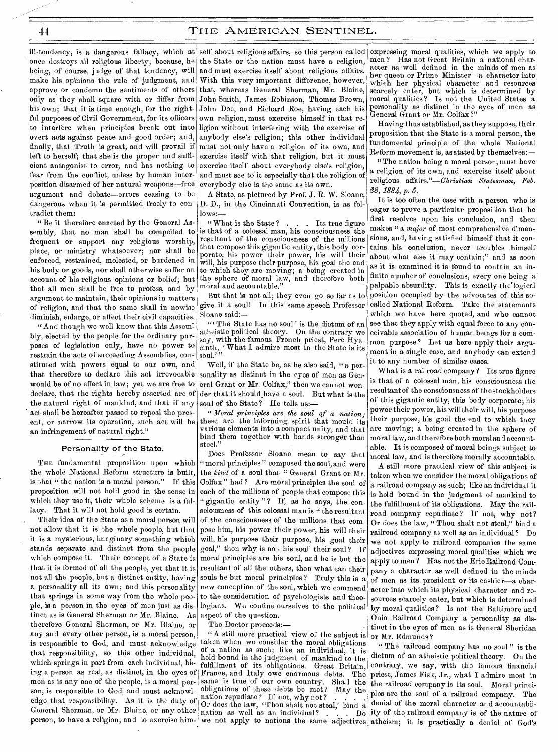ill-tendency, is a dangerous fallacy, which at once destroys all religious liberty; because, he being, of course, judge of that tendency, will make his opinions the rule of judgment, and approve or condemn the sentiments of others only as they shall square with or differ from his own; that it is time enough, for the rightful purposes of Civil Government, for its officers to interfere when principles break out into overt acts against peace and good order; and, finally, that Truth is great, and will prevail if left to herself; that she is the proper and sufficient antagonist to error, and has nothing to fear from the conflict, unless by human interposition disarmed of her natural weapons—free argument and debate—errors ceasing to be dangerous when it is permitted freely to contradict them:

"Be it therefore enacted by the General Assembly, that no man shall be compelled to frequent or support any religious worship, place, or ministry whatsoever; nor shall be enforced, restrained, molested, or burdened in his body or goods, nor shall otherwise suffer on account of his religious opinions or belief; but that all men shall be free to profess, and by argument to maintain, their opinions in matters of religion, and that the same shall in nowise diminish, enlarge, or affect their civil capacities.

"And though we well know that this Assembly, elected by the people for the ordinary purposes of legislation only, have no power to restrain the acts of succeeding Assemblies, constituted with powers equal to our own, and that therefore to declare this act irrevocable would be of no effect in law; yet we are free to declare, that the rights hereby asserted are of the natural right of mankind, and that if any act shall be hereafter passed to repeal the present, or narrow its operation, such act will be an infringement of natural right."

#### Personality of the State.

THE fundamental proposition upon which the whole National Reform structure is built, is that "the nation is a moral person." If this proposition will not hold good in the sense in which they use it, their whole scheme is a fallacy. That it will not hold good is certain.

Their idea of the State as a moral person will not allow that it is the whole people, but that it is a mysterious, imaginary something which stands separate and distinct from the people which compose it. Their concept of a State is that it is formed of all the people, yet that it is not all the people, but a distinct entity, having a personality all its own; and this personality that springs in some way from the whole people, is a person in the eyes of men just as distinct as is General Sherman or Mr. Blaine. As therefore General Sherman, or Mr. Blaine, or any and every other person, is a moral person, is responsible to God, and must acknowledge that responsibility, so this other individual, which springs in part from each individual, being a person as real, as distinct, in the eyes of men as is any one of the people, is a moral person, is responsible to God, and must acknowledge that responsibility. As it is the duty of General Sherman, or Mr. Blaine, or any other

self about religious affairs, so this person called the State or the nation must have a religion, and must exercise itself about religious affairs. With this very important difference, however, that, whereas General Sherman, Mr. Blaine, John Smith, James Robinson, Thomas Brown, John Doe, and Richard Roe, having each his own religion, must exercise himself in that religion without interfering with the exercise of anybody else's religion; this other individual must not only have a religion of its own, and exercise itself with that religion, but it must exercise itself about everybody else's religion, and must see to it especially that the religion of everybody else is the same as its own.

A State, as pictured by Prof. J. R. W. Sloane, D. D., in the Cincinnati Convention, is as follows:—

" What is the State? . . . Its true figure is that of a colossal man, his consciousness the resultant of the consciousness of the millions that compose this gigantic entity, this body corporate, his power their power, his will their will, his purpose their purpose, his goal the end to which they are moving; a being created in the sphere of moral law, and therefore both moral and accountable.

But that is not all; they even go so far as to give it a soul! In this same speech Professor Sloane said:

 $``$  The State has no soul ' is the dictum of an atheistic political-theory. On the contrary we say, with the famous French priest, Pere Hyacinth, What I admire most in the State is its soul. '

Well, if the State be, as he also said, " a personality as distinct in the eyes of men as General Grant or Mr. Colfax," then we cannot wonder that it should have a soul. But what is the soul of the State? He tells us:—

" *Moral principles are the soul of a nation;*  these are the informing spirit that mould its various elements into a compact unity, and that bind them together with bands stronger than steel."

Does Professor Sloane mean to say that " moral principles" composed the soul, and were the *kind* of a soul that " General Grant or Mr. Colfax" had? Are moral principles the soul of each of the millions of people that compose this " gigantic entity "? If, as he says, the consciousness of this colossal man is " the resultant of the consciousness of the millions that compose him, his power their power, his will their will, his purpose their purpose, his goal their goal," then why is not his soul their soul ? If moral principles are his soul, and he is but the resultant of all the others, then what can their souls be but moral principles? Truly this is a new conception of the soul, which we commend to the consideration of psychologists and theologians. We confine ourselves to the political aspect of the question.

### The Doctor proceeds:—

A still more practical view of the subject is taken when we consider the moral obligations of a nation as such; like an individual, it is held bound in the judgment of mankind to the fulfillment of its obligations. Great Britain, France, and Italy owe enormous debts. The same is true of our own country. Shall the<br>obligations of these debts be met? May the obligations of these debts be met? nation repudiate? If not, why not? . . . Or does the law, 'Thou shalt not steal,' bind a nation as well as an individual?

expressing moral qualities, which we apply to men ? Has not Great Britain a national character as well defined in the minds of men as her queen or Prime Minister—a character into which her physical character and resources scarcely enter, but which is determined by moral qualities? Is not the United States a personality as distinct in the eyes of men as General Grant or Mr. Colfax ?"

Having thus established, as they suppose, their proposition that the State is a moral person, the fundamental principle of the whole National Reform movement is, as stated by themselves:—

"The nation being a moral person, must have a religion of its own, and exercise itself about religious *affairs."—Christian Statesman, Feb. 28, 1884, p. 5.* 

It is too often the case with a person who is eager to prove a particular proposition that he first resolves upon his conclusion, and then makes " a *major* of most comprehensive dimensions, and, having satisfied himself that it contains his conclusion, never troubles himself about what else it may contain;" and as soon as it is examined it is found to contain an infinite number of conclusions, every one being a palpable absurdity. This is exactly the'logical position occupied by the advocates of this socalled National Reform. Take the statements which we have here quoted, and who cannot see that they apply with equal force to any conceivable association of human beings for a common purpose? Let us here apply their argument in a single case, and anybody can extend it to any number of similar cases.

What is a railroad company? Its true figure is that of a colossal man, his consciousness the resultantof the consciousness of the stockholders of this gigantic entity, this body corporate; his power their power, his will their will, his purpose their purpose, his goal the end to which they are moving; a being created in the sphere of moral law, and therefore both moral and accountable. It is composed of moral beings subject to moral law, and is therefore morally accountable.

A still more practical view of this subject is taken when we consider the moral obligations of a railroad company as such; like an individual it is held bound in the judgment of mankind to the fulfillment of its obligations. May the railroad company repudiate? If not, why not? Or does the law, " Thou shalt not steal," bind a railroad company as well as an individual? Do we not apply to railroad companies the same adjectives expressing moral qualities which we apply to men ? Has not the Erie Railroad Company a character as well defined in the minds of men as its president or its cashier—a character into which its physical character and resources scarcely enter, but which is determined by moral qualities ? Is not the Baltimore and Ohio Railroad Company a personality as distinct in the eyes of men as is General Sheridan or Mr. Edmunds?

person, to have a religion, and to exercise him- we not apply to nations the same adjectives atheism; it is practically a denial of God's " The railroad company has no soul " is the dictum of an atheistic political theory. On the contrary, we say, with the famous financial priest, James Fisk, Jr., what I admire most in the railroad company is its soul. Moral principles are the soul of a railroad company. The denial of the moral character and accountabil- $Do$  ity of the railroad company is of the nature of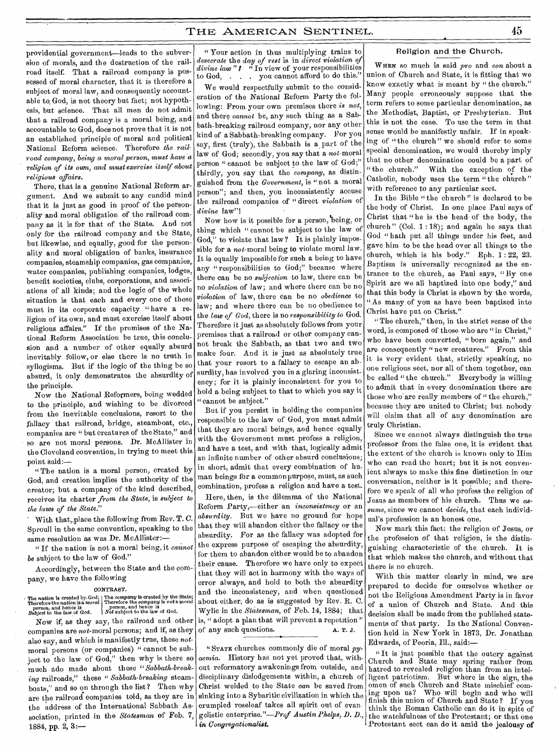providential government—leads to the subversion of morals, and the destruction of the railroad itself. That a railroad company is possessed of moral character, that it is therefore a subject of moral law, and consequently accountable to, God, is not theory but fact; not hypothesis, but science. That all men do not admit that a railroad company is a moral being, and accountable to God, does not prove that it is not an established principle of moral and political National Reform science. Therefore *the railroad company, being a moral person, must have a religion of its own, and must exercise itself about religious affairs.* 

There, that is a genuine National Reform argument. And we submit to any candid mind that it is just as good in proof of the personality and moral obligation of the railroad company as it is for that of the State. And not only for the railroad company and the State, but likewise, and equally, good for the personality and moral obligation of banks, insurance companies, steamship companies, gas companies, water companies, publishing companies, lodges, benefit societies, clubs, corporations, and associations of all kinds; and the logic of the whole situation is that each and every one of these must in its corporate capacity " have a religion of its own, and must exercise itself about religious affairs." If the premises of the National Reform Association be true, this conclusion and a number of other equally absurd inevitably follow, or else there is no truth in syllogisms. But if the logic of the thing be so absurd, it only demonstrates the absurdity of the principle.

Now the National Reformers, being wedded to the principle, and wishing to be divorced from the inevitable conclusions, resort to the fallacy that railroad, bridge, steamboat, etc., companies are " but creatures of the State," and so are not moral persons. Dr. McAllister in the Cleveland convention, in trying to meet this point said:—

"The nation is a moral person, created by God, and creation implies the authority of the creator; but a company of the kind described, receives its charter *from the State, is subject to the laws of the State."* 

- With that,,place the following from Rev. T. *C.*  Sproull in the same convention, speaking to the same resolution as was Dr. McAllister:—

" If the nation is not a moral being, it *cannot be* subject to the law of God."

Accordingly, between the State and the company, we have the following

#### CONTRAST.

*• The nation* Is created by. God; Therefore the *nation is a moral person,* and hence is *Subject* to the *law* of God. The *company* is created *by* the State; Therefore the *company* is *not* a moral person, and hence is *Not* subject to the law of God.

Now if, as they say, the railroad and other companies are not-moral persons; and if, as they also say, and which is manifestly true, these *not*moral persons (or companies) " cannot be subject to the law of God," then why is there so much ado made about these *" Sabbath-breaking* railroads," these " *Sabbath-breaking* steamboats," and so on through the list? Then why are the railroad companies told, as they are in the address of the International Sabbath Association, printed in the *Statesman* of Feb. 7, 1884, pp. 2, 3:—

" Your action in thus multiplying trains to *desecrate* the *day of rest* is in *direct violation of divine law" t "* In view of your responsibilities to God, . . . you cannot afford to do this." We would respectfully submit to the consideration of the National Reform Party the fol-

lowing: From your own premises there *is not,*  and there *cannot* be, any such thing as a Sabbath-breaking railroad company, nor any other kind of a Sabbath-breaking company. For you say, first (truly), the Sabbath is a part of the law of God; secondly, you say that a not-moral person " cannot be subject to the law of God;" thirdly, you say that the *company,* as distinguished from the *Government, is "* not a moral person"; and then, you inconsistently accuse the railroad companies of "direct *violation* of *divine* law"1

Now how is it possible for a person, 'being, or thing which " cannot be subject to the law of God," to violate that law ? It is plainly impossible for a not-moral being to violate moral law. It is equally impossible for such a being to have any "responsibilities to God;" because where there can be no *subjection* to law, there can be no *violation* of law; and where there can be no *violation* of law, there can be no *obedience* to law; and where there can be no obedience to the *law of God,* there is no *responsibility to* God. Therefore it just as absolutely follows from your premises that a railroad or other company cannot break the Sabbath, as that two and two make four. And it is just as absolutely true that your resort to a fallacy to escape an absurdity, has involved you in a glaring inconsistency; for it is plainly inconsistent for you to hold a being subject to that to which you say it cannot be subject."

But if you persist in holding the companies responsible to the law of God, you must admit that they are moral beings, and hence equally with the Government must profess a religion, and have a test, and with that, logically admit an infinite number of other absurd conclusions; in short, admit that every combination of human beings for a common purpose, must, as such combination, profess a religion and have a test.

Here, then, is the dilemma of the National Reform Party,—either an *inconsistency* or an *absurdity.* But we have no ground for hope that they will abandon either the fallacy or the absurdity. For as the fallacy was adopted for the express purpose of escaping the absurdity, for them to abandon either would be to abandon their cause. Therefore we have only to expect that they will act in harmony with the ways of error always, and hold to both the absurdity and the inconsistency, and when questioned about either, do as is suggested by Rev. R. C. Wylie in the *Statesman,* of Feb. 14, 1884; that is, " adopt a plan that will prevent a repetition' of any such questions. A. T. J.

" STATE churches commonly die of moral *pyaemia.* History has not yet proved that, without reformatory awakenings from outside, and disciplinary dislodgements within, a church of Christ welded to the State *can* be saved from sinking into a Sybaritic civilization in which the crumpled roseleaf takes all spirit out of evangelistic enterprise."—Prof *Austin Phelps, D. D., in Congregationalist.* 

## Religion and the Church.

WHEN so much is said *pro* and *con* about a union of Church and State, it is fitting that we know exactly what is meant by " the church." Many people erroneously suppose that the term refers to some particular denomination, as the Methodist, Baptist, or Presbyterian. But this is not the case. To use the term in that sense would be manifestly unfair. If in speaking of "the church" we should refer to some special denomination, we would thereby imply that no other denomination could be a part of "the church." With the exception of the Catholic, nobody uses the term "the church" with reference to any particular sect.

In the Bible "the church" is declared to be the body of Christ. In one place Paul says of Christ that " he is the head of the body, the church" (Col. 1 : 18); and again be says that God "bath put all things under his feet, and gave him to be the head over all things to the church, which is his body." Eph.  $1 : 22, 23$ . Baptism is universally recognized as the entrance to the church, as Paul says, " By one Spirit are we all baptized into one body," and that this body is Christ is shown by the words, "As many of you as have been baptized into Christ have put on Christ."

"The church," then, in the strict sense of the word, is composed of those who are "in Christ," who have been converted, " born again," and are consequently "new creatures." From this it is very evident that, strictly speaking, no one religious sect, nor all of them together, can be called "the church." Everybody is willing to admit that in every denomination there are those who'are really members of " the church," because they are united to Christ; but nobody will claim that all of any denomination are truly Christian.

Since we cannot always distinguish the true professor from the false one, it is evident that the extent of the church is known only to Him who can read the heart; but it is not convenient always to make this fine distinction in our conversation, neither is it possible; and therefore we speak of all who profess the religion of Jesus as members of his church. Thus we *assume,* since we cannot *decide,* that each individual's profession is an honest one.

Now mark this fact: the religion of Jesus, or the profession of that religion, is the distinguishing characteristic of the church. It is that which makes the church, and without that there is no church.

With this matter clearly in mind, we are prepared to decide for ourselves whether or not the Religious Amendment Party is in favor of a union of Church and State. And this decision shall be made from the published statements of that party. In the National Convention held in New York in 1873, Dr. Jonathan Edwards, of Peoria, Ill., said:—

" It is just possible that the outcry against Church and State may spring rather from hatred to revealed religion than from an intelligent patriotism. But where is the sign, the omen of such Church and State mischief coming upon us? Who will begin and who will finish this union of Church and State? If you think the Roman Catholic can do it in spite of the watchfulness of the Protestant; or that one Protestant sect can do it amid the jealousy of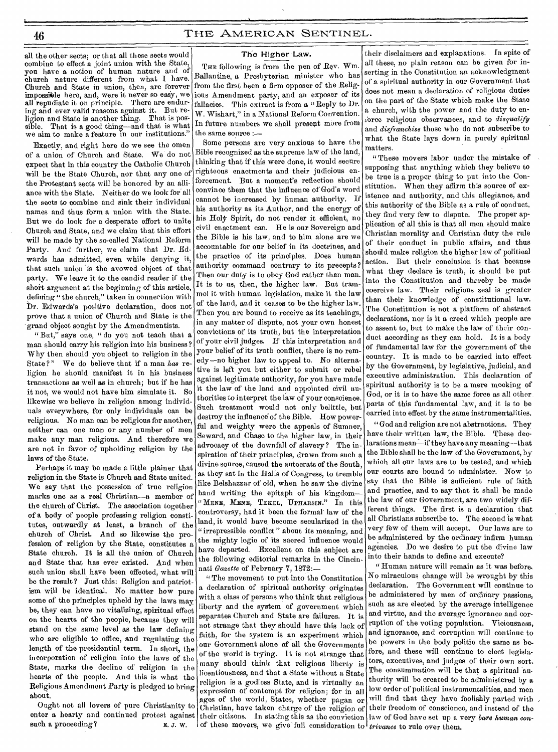all the other sects; or that all these sects would combine to effect a joint union with the State, you have a notion of human nature and of church nature different from what I have. Church and State in union, then, are forever impossible here, and, were it never so easy, we all repudiate it on principle. There are enduring and ever valid reasons against it. But religion and State is another thing.<br>sible. That is a good thing-and That is a good thing—and that is what we aim to make a feature in our institutions."

Exactly, and right here do we see the omen of a union of Church and State. We do not expect that in this country the Catholic Church will be the State Church, nor that any one of the Protestant sects will be honored by an alliance with the State. Neither do we look for all the sects to combine and sink their individual names and thus form a union with the State. But we do look for a desperate effort to unite Church and State, and we claim that this effort will be made by the so-called National Reform Party. And further, we claim that Dr. Edwards has admitted, even while denying it, that such union 'is the avowed object of that party. We leave it to the candid reader if the short argument at the beginning of this article, defining " the church," taken in connection with Dr. Edwards's positive declaration, does not prove that a union of Church and State is the grand object sought by the Amendmentists.

" But," says one, " do you not teach that a man should carry his religion into his business? Why then should you object to religion in the State ?" We do believe that if a man *has* religion he should manifest it in his business transactions as well as in church; but if he has it not, we would not have him simulate it. So likewise we believe in religion among individuals everywhere, for only individuals can be religious. No man can be religious for another, neither can one man or any number of men make any man religious. And therefore we are not in favor of upholding religion by the laws of the State.

Perhaps it may be made a little plainer that religion in the State is Church and State united. We say that the possession of true religion marks one as a real Christian—a member of the church of Christ. The association together of a body of people professing religion constitutes, outwardly at least, a branch of the church of Christ. And so likewise the profession of religion by the State, constitutes a State church. It is all the union of Church and State that has ever existed. And when such union shall have been effected, what will be the result? Just this: Religion and patriotism will be identical. No matter how pure some of the principles upheld by the laws may be, they can have no vitalizing, spiritual effect on the hearts of the people, because they will stand on the same level as the law defining who are eligible to office, and regulating the length of the presidential term. In short, the incorporation of religion into the laws of the State, marks the decline of religion in the hearts of the people. And this is what the Religious Amendment Party is pledged to bring about.

Ought not all lovers of pure Christianity to such a proceeding? **E. J. W.** 

#### Th'e Higher Law.

**THE** following is from the pen of Rev. Wm. Ballantine, a Presbyterian minister who has from the first been a firm opposer of the Religious Amendment party, and an exposer of its fallacies. This extract is from a "Reply to Dr. W. Wishart," in a National Reform Convention. In future numbers we shall present more from the same source :—

Some persons are very anxious to have the Bible recognized as the supreme law of the land, thinking that if this were done, it would secure righteous enactments and their judicious enforcement. But a moment's reflection should convince them that the influence of God's word cannot be increased by human authority. If his authority as its Author, and the energy of his Holy Spirit, do not render it efficient, no civil enactment can. He is our Sovereign and the Bible is his law, and to him alone are we accountable for our belief in its doctrines, and the practice of its principles. Does human authority command contrary to its precepts ? Then our duty is to obey God rather than man. It is to us, then, the higher law. But trammel it with human legislation, make it the law of the land, and it ceases to be the higher law. Then you are bound to receive as its teachings, in any matter of dispute, not your own honest convictions of its truth, but the interpretation of your civil judges. If this interpretation and your belief of its truth conflict, there is no remedy—no higher law to appeal to. No alternative is left you but either to submit or rebel against legitimate authority, for you have made it the law of the land and appointed civil authorities to interpret the law of your conscience. Such treatment would not only belittle, but destroy the influence' of the Bible. How powerful and weighty were the appeals of Sumner, Seward, and Chase to the higher law, in their advocacy of the downfall of slavery ? The inspiration of their principles, drawn from such a divine source, caused the autocrats of the South, as they sat in the Halls of Congress, to tremble like Belshazzar of old, when he saw the divine hand writing the epitaph of his kingdom— " MENE, MENE, TEKEL, UPHARSIN." In this controversy, had it been the formal law of the land, it would have become secularized in the " irrepressible conflict " about its meaning, and the mighty logic of its sacred influence would have departed. Excellent on this subject are the following editorial remarks in the Cincinnati *Gazette* of February 7, 1872:—

enter a hearty and continued protest against their citizens. In stating this as the conviction law of God have set up a very *bare human con-*The movement to put into the Constitution a declaration of spiritual authority originates with a class of persons who think that religious liberty and the system of government which separates Church and State are failures. It is not strange that they should have this lack of faith, for the system is an experiment which our Government alone of all the Governments of the world is trying. It is not strange that many should think that religious liberty is licentiousness, and that a State without a State religion is a godless State, and is virtually an expression of contempt for religion; for in all ages of the world, States, whether pagan or Christian, have taken charge of the religion of of these movers, we give full consideration to *trivance* to rule over them.

their disclaimers and explanations. In spite of all these, no plain reason can be given for inserting in the Constitution an acknowledgment of a spiritual authority in our Government that does not mean a declaration of religious duties on the part of the State which make the State a church, with the power and the duty to enibree religious observances, and to *disqualify*  and *disfranchise* those who do not subscribe to what the State lays down in purely spiritual matters.

" These movers labor under the mistake of supposing that anything which they believe to be true is a proper thing to put into the Constitution. When they affirm this source of existence and authority, and this allegiance, and this authority of the Bible as a rule of conduct, they find very few to dispute. The proper application of all this is that all men should make Christian morality and Christian duty the rule of their conduct in public affairs, and thus should make religion the higher law of political action. But their conclusion is that because what they declare is truth, it should be put into the Constitution and thereby be made coercive law. Their religious zeal is greater than their knowledge of constitutional law. The Constitution is not a platform of abstract declarations, nor is it a creed which people are to assent to, but to make the law of their conduct according as they can hold. It is a body of fundamental law for the government of the country. It is made to be carried into effect by the Government, by legislative, judicial, and executive administration. This declaration of spiritual authority is to be a mere mocking of God, or it is to have the same force as all other parts of this fundamental law, and it is to be carried into effect by the same instrumentalities.

"God and religion are not abstractions. They have their written law, the Bible. These declarations mean-if they have any meaning-that the Bible shall be the law of the Government, by which all our laws are to be tested, and which our courts are bound to administer. Now to say that the Bible is sufficient rule of faith and practice, and to say that it shall be made the law of our Government, aro two widely different things. The first is a declaration that all Christians subscribe to. The second is what very few of them will accept. Our laws are to be administered by the ordinary infirm human agencies. Do we desire to put the divine law into their hands to define and execute?

" Human nature will remain as it was before. No miraculous change will be wrought by this declaration. The Government will continue to be administered by men of ordinary passions, such as are elected by the average intelligence and virtue, and the average ignorance and corruption of the voting population. Viciousness, and ignorance, and corruption will continue to be powers in the body politic the same as before, and these will continue to elect legislators, executives, and judges of their own sort. The consummation will be that a spiritual 'authority will be created to be administered by a low order of political instrumentalities, and men will find that they have foolishly parted with , their freedom of conscience, and instead of the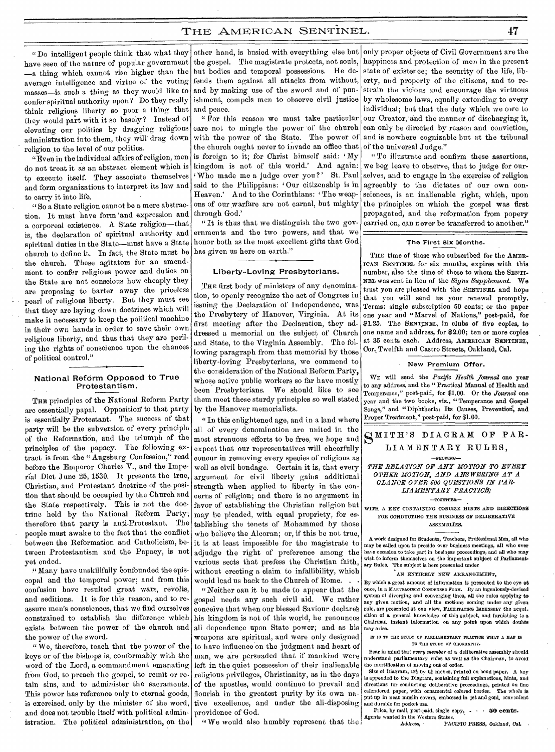"Do intelligent people think that what they have seen of the nature of popular government the gospel. The magistrate protects, not souls, —a thing which cannot rise higher than the average intelligence and virtue of the voting masses—is such a thing as they would like to confer spiritual authority upon ? Do they really think religious liberty so poor a thing that they would part with it so basely? Instead of elevating our politics by dragging religious administration into them, they will drag down religion to the level of our politics.

"Even in the individual affairs of religion, men do not treat it as an abstract element which is to execute itself. They associate themselves and form organizations to interpret its law and to carry it into life.

" So a State religion cannot be a mere abstraction. It must have form 'and expression and a corporeal existence. A State religion—that is, the declaration of spiritual authority and spiritual duties in the State—must have a State church to define it. In fact, the State must be the church. Those agitators for an amendment to confer religious power and duties on the State are not conscious how cheaply they are proposing to barter away the priceless pearl of religious liberty. But they must see that they are laying down doctrines which will make it necessary to keep the political machine in their own hands in order to save their own religious liberty, and thus that they are periling the rights of conscience upon the chances of political control."

### National Reform Opposed to True Protestantism.

THE principles of the National Reform Party are essentially papal. Opposition to that party is essentially Protestant. The success of that party will be the subversion of every principle of the Reformation, and the triumph of the principles of the papacy. The following extract is from the "Augsburg Confession," read before the Emperor Charles V., and the Imperial Diet June 25, 1530. It presents the true, Christian, and Protestant doctrine of the position that should be occupied by the Church and the State respectively. This is not the doctrine held by the National Reform Party therefore that party is anti-Protestant. The people must awake to the fact that the conflict between the Reformation and Catholicism, between Protestantism and the Papacy, is not yet ended.

" Many have unskillfully confounded the episcopal and the temporal power; and from this confusion have resulted great wars, revolts, and seditions. It is for this reason, and to reassure men's consciences, that we find ourselves constrained to establish the difference which exists between the power of the church and the power of the sword.

" We, therefore, teach that the power of the keys or of the bishops is, conformably with the word of the Lord, a commandment emanating from God, to preach the gospel, to remit or retain sins, and to administer the sacraments. This power has reference only to eternal goods, is exercised, only by the minister of the word, and does not trouble itself with political administration. The political administration, on the

but bodies and temporal possessions. He defends them against all attacks from without, and by making use of the sword and of punishment, compels men to observe civil justice and peace.

" For this reason we must take particular care not to mingle the power of the church with the power of the State. The power of the church ought never to invade an office that is foreign to it; for Christ himself said: 'My kingdom is not of this world.' And again: 'Who made me a judge over you?' St. Paul said to the Philippians: 'Our citizenship is in Heaven.' And to the Corinthians: ' The weapons of our warfare are not carnal, but mighty through God.'

" It is thus that we distinguish the two governments and the two powers, and that we honor both as the most excellent gifts that God has given us here on earth."

### Liberty-Loving Presbyterians.

THE first body of ministers of any denomination, to openly recognize the act of Congress in issuing the Declaration of Independence, was the Presbytery of Hanover, Virginia. At its first meeting after the Declaration, they addressed a memorial on the subject of Church and State, to the Virginia Assembly. The following paragraph from that memorial by those liberty-loving Presbyterians, we commend to the consideration of the National Reform Party, whose active public workers so far have mostly been Presbyterians. We should like to see them meet these sturdy principles so well stated by the Hanover memorialists.

" In this enlightened age, and in a land where all of every denomination are united in the all of every denomination are united in the  $\left|\bigotimes \texttt{MITH'S} \texttt{ DIAGRAM} \texttt{ OF} \texttt{ PAR-}\right|$ expect that our representatives will cheerfully concur in removing every species of religious as well as civil bondage. Certain it is, that every argument for civil liberty gains additional strength when applied to liberty in the concerns of religion; and there is no argument in favor of establishing the Christian religion but may be pleaded, with equal propriety, for establishing the tenets of Mohammed by those who believe the Aleoran; or, if this be not true, it is at least impossible for the magistrate to adjudge the right of preference among the various sects that profess the Christian faith, without erecting a claim to infallibility, which would lead us back to the Church of Rome.

"Neither can it be made to appear that the gospel needs any such civil aid. We rather conceive that when our blessed Saviour declareb his kingdom is not of this world, he renounces all dependence upon State power; and as his weapons are spiritual, and were only designed to have influence on the judgment and heart of man, we are persuaded that if mankind were left in the quiet possession of their inalienable religious privileges, Christianity, as in the days of the apostles, would continue to prevail and flourish in the greatest purity by its own native excellence, and under the all-disposing providence of God.

"We would also humbly represent that the

other hand, is busied with everything else but only proper objects of Civil Government are the happiness and protection of men in the present state of existence; the security of the life, liberty, and property of the citizens, and to restrain the vicious and encourage the virtuous by wholesome laws, equally extending to every individual; but that the duty which we owe to our Creator,' and the manner of discharging it, can only be directed by reason and conviction, and is nowhere cognizable but at the tribunal of the universal Judge."

> " To illustrate and confirm these assertions, we beg leave to observe, that to judge for ourselves, and to engage in the exercise of religion agreeably to the dictates of our own consciences, is an inalienable right, which, upon the principles on which the gospel was first propagated, and the reformation from popery carried on, can never be transferred to another."

#### The First Six Months.

THE time of those who subscribed for the AMER-ICAN SENTINEL for six months, expires with this number, also the time of those to whom the SENTI-NEL was sent in lieu of the *Signs Supplement*. trust you are pleased with the SENTINEL and hope that you will send us your renewal promptly. Terms: single subscription 50 cents; or the paper one year and "Marvel of Nations," post-paid, for \$1.25. The SENTINEL, in clubs of *five copies,* to one name and address, for \$2.00; ten or more copies at 35 cents each. Address, AMERICAN SENTINEL, Cor. Twelfth and Castro Streets, Oakland, Cal.

#### New Premium Offer.

WE will send the *Pacific Health Journal* one *year*  to any address, and the " Practical Manual of Health and Temperance," post-paid, for \$1.00. Or the *Journal* one year and the two books, viz., " Temperance and Gospel Songs," and "Diphtheria: Its Causes, Prevention; and Proper Treatment," post-paid, for \$1.00.

LIAMENTARY RULES,

—SHOWING—

*THE RELATION OF ANY MOTION TO EVERY OTHER MOTION, AND ANSWERING AT A GLANCE OVER 500 QUESTIONS IN PAR-LIAMENTARY PRACTICE;*  —TOGETHER—

WITH A KEY CONTAINING CONCISE HINTS AND DIRECTIONS FOR CONDUCTING THE BUSINESS OF DELIBERATIVE *ASSEMBLIES.* 

A work designed for Students, Teachers, Professional Men, all who may be called upon to preside over business meetings, all who ever have occasion to take part in business proceedings, and all who may wish to inform themselves on the important subject of Parliament-<br>ary Rules. `The subject is here presented under

AN ENTIRELY NEW ARRANGEMENT,

By which a great amount of information is presented to the eye at once, in a MARVELOUSLY CONDENSED FORM. By an ingeniously-devised system of diverging and converging lines, all the rules applying to any given motion, and all the motions coming under any given rule, are presented at one view, FACILITATING IMMENSELY the acqui. sition of a general knowledge of this subject, and furnishing to a Chairman instant information on any point upon which doubts may arise.

IT IS TO THE STUDY OF PARLIAMENTARY PRACTICE WHAT A MAP IS TO THE STUDY OF GEOGRAPHY.

Bear in mind that *every member* of a deliberative assembly should understand parliamentary rules as well as the Chairman, to avoid the mortification of moving out of order.

Size of Diagram,  $12\frac{1}{2}$  by  $6\frac{3}{4}$  inches, printed on bond paper. A key is appended to the Diagram, containing full explanations, hints, and directions for conducting deliberative proceedings, printed on fine<br>calendered paper, with ornamental colored border. The whole is calendered paper, with ornamental colored border. put up in neat muslin covers, embossed in jet and gold, convenient and durable for pocket use. Price, by mail, post-paid, single copy, . - **50** cents.

Agents wanted in the Western States Address, PACIFIC PRESS, Oakland, Cal.